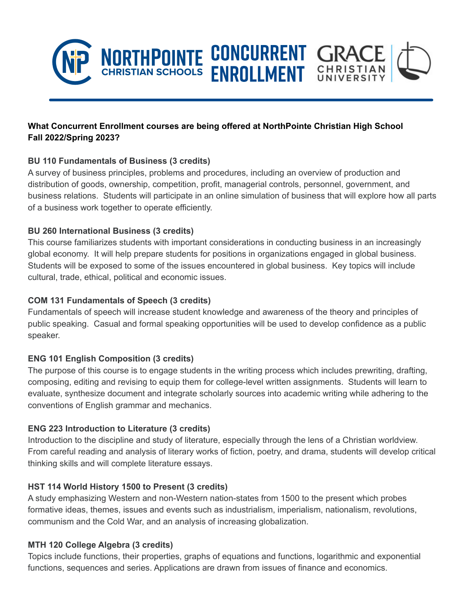

# **What Concurrent Enrollment courses are being offered at NorthPointe Christian High School Fall 2022/Spring 2023?**

### **BU 110 Fundamentals of Business (3 credits)**

A survey of business principles, problems and procedures, including an overview of production and distribution of goods, ownership, competition, profit, managerial controls, personnel, government, and business relations. Students will participate in an online simulation of business that will explore how all parts of a business work together to operate efficiently.

### **BU 260 International Business (3 credits)**

This course familiarizes students with important considerations in conducting business in an increasingly global economy. It will help prepare students for positions in organizations engaged in global business. Students will be exposed to some of the issues encountered in global business. Key topics will include cultural, trade, ethical, political and economic issues.

### **COM 131 Fundamentals of Speech (3 credits)**

Fundamentals of speech will increase student knowledge and awareness of the theory and principles of public speaking. Casual and formal speaking opportunities will be used to develop confidence as a public speaker.

### **ENG 101 English Composition (3 credits)**

The purpose of this course is to engage students in the writing process which includes prewriting, drafting, composing, editing and revising to equip them for college-level written assignments. Students will learn to evaluate, synthesize document and integrate scholarly sources into academic writing while adhering to the conventions of English grammar and mechanics.

### **ENG 223 Introduction to Literature (3 credits)**

Introduction to the discipline and study of literature, especially through the lens of a Christian worldview. From careful reading and analysis of literary works of fiction, poetry, and drama, students will develop critical thinking skills and will complete literature essays.

### **HST 114 World History 1500 to Present (3 credits)**

A study emphasizing Western and non-Western nation-states from 1500 to the present which probes formative ideas, themes, issues and events such as industrialism, imperialism, nationalism, revolutions, communism and the Cold War, and an analysis of increasing globalization.

### **MTH 120 College Algebra (3 credits)**

Topics include functions, their properties, graphs of equations and functions, logarithmic and exponential functions, sequences and series. Applications are drawn from issues of finance and economics.